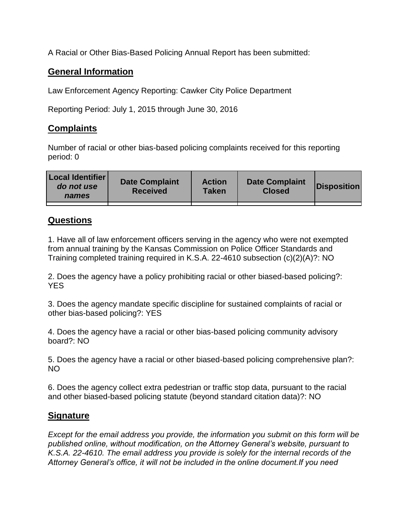A Racial or Other Bias-Based Policing Annual Report has been submitted:

## **General Information**

Law Enforcement Agency Reporting: Cawker City Police Department

Reporting Period: July 1, 2015 through June 30, 2016

## **Complaints**

Number of racial or other bias-based policing complaints received for this reporting period: 0

| <b>Local Identifier</b><br>do not use<br>names | <b>Date Complaint</b><br><b>Received</b> | <b>Action</b><br><b>Taken</b> | <b>Date Complaint</b><br><b>Closed</b> | Disposition |
|------------------------------------------------|------------------------------------------|-------------------------------|----------------------------------------|-------------|
|                                                |                                          |                               |                                        |             |

## **Questions**

1. Have all of law enforcement officers serving in the agency who were not exempted from annual training by the Kansas Commission on Police Officer Standards and Training completed training required in K.S.A. 22-4610 subsection (c)(2)(A)?: NO

2. Does the agency have a policy prohibiting racial or other biased-based policing?: YES

3. Does the agency mandate specific discipline for sustained complaints of racial or other bias-based policing?: YES

4. Does the agency have a racial or other bias-based policing community advisory board?: NO

5. Does the agency have a racial or other biased-based policing comprehensive plan?: NO

6. Does the agency collect extra pedestrian or traffic stop data, pursuant to the racial and other biased-based policing statute (beyond standard citation data)?: NO

## **Signature**

*Except for the email address you provide, the information you submit on this form will be published online, without modification, on the Attorney General's website, pursuant to K.S.A. 22-4610. The email address you provide is solely for the internal records of the Attorney General's office, it will not be included in the online document.If you need*